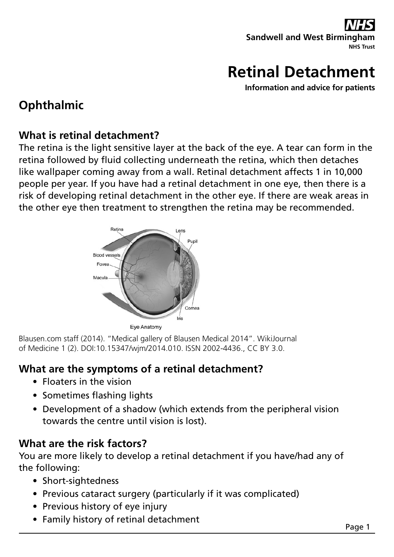## **Sandwell and West Birming NHS Trust**

# **Retinal Detachment**

**Information and advice for patients**

## **Ophthalmic**

### **What is retinal detachment?**

The retina is the light sensitive layer at the back of the eye. A tear can form in the retina followed by fluid collecting underneath the retina, which then detaches like wallpaper coming away from a wall. Retinal detachment affects 1 in 10,000 people per year. If you have had a retinal detachment in one eye, then there is a risk of developing retinal detachment in the other eye. If there are weak areas in the other eye then treatment to strengthen the retina may be recommended.



Blausen.com staff (2014). "Medical gallery of Blausen Medical 2014". WikiJournal of Medicine 1 (2). DOI:10.15347/wjm/2014.010. ISSN 2002-4436., CC BY 3.0.

### **What are the symptoms of a retinal detachment?**

- Floaters in the vision
- Sometimes flashing lights
- Development of a shadow (which extends from the peripheral vision towards the centre until vision is lost).

### **What are the risk factors?**

You are more likely to develop a retinal detachment if you have/had any of the following:

- Short-sightedness
- Previous cataract surgery (particularly if it was complicated)
- Previous history of eye injury
- Family history of retinal detachment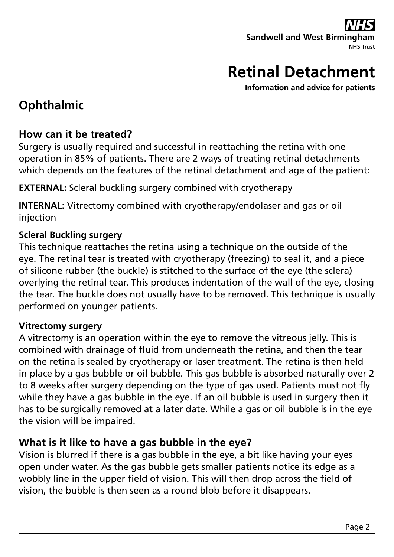## **Sandwell and West Birming NHS Trust**

# **Retinal Detachment**

**Information and advice for patients**

## **Ophthalmic**

### **How can it be treated?**

Surgery is usually required and successful in reattaching the retina with one operation in 85% of patients. There are 2 ways of treating retinal detachments which depends on the features of the retinal detachment and age of the patient:

**EXTERNAL:** Scleral buckling surgery combined with cryotherapy

**INTERNAL:** Vitrectomy combined with cryotherapy/endolaser and gas or oil injection

#### **Scleral Buckling surgery**

This technique reattaches the retina using a technique on the outside of the eye. The retinal tear is treated with cryotherapy (freezing) to seal it, and a piece of silicone rubber (the buckle) is stitched to the surface of the eye (the sclera) overlying the retinal tear. This produces indentation of the wall of the eye, closing the tear. The buckle does not usually have to be removed. This technique is usually performed on younger patients.

#### **Vitrectomy surgery**

A vitrectomy is an operation within the eye to remove the vitreous jelly. This is combined with drainage of fluid from underneath the retina, and then the tear on the retina is sealed by cryotherapy or laser treatment. The retina is then held in place by a gas bubble or oil bubble. This gas bubble is absorbed naturally over 2 to 8 weeks after surgery depending on the type of gas used. Patients must not fly while they have a gas bubble in the eye. If an oil bubble is used in surgery then it has to be surgically removed at a later date. While a gas or oil bubble is in the eye the vision will be impaired.

### **What is it like to have a gas bubble in the eye?**

Vision is blurred if there is a gas bubble in the eye, a bit like having your eyes open under water. As the gas bubble gets smaller patients notice its edge as a wobbly line in the upper field of vision. This will then drop across the field of vision, the bubble is then seen as a round blob before it disappears.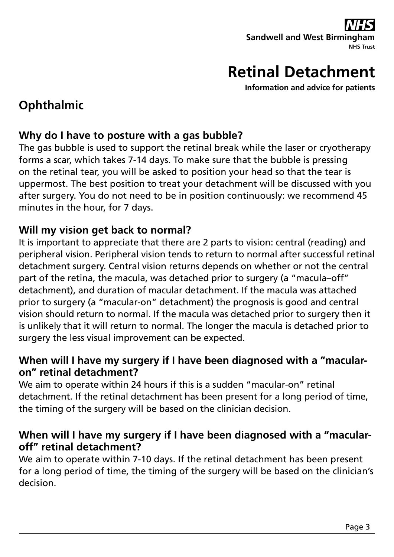**Sandwell and West Birming NHS Trust**

# **Retinal Detachment**

**Information and advice for patients**

## **Ophthalmic**

### **Why do I have to posture with a gas bubble?**

The gas bubble is used to support the retinal break while the laser or cryotherapy forms a scar, which takes 7-14 days. To make sure that the bubble is pressing on the retinal tear, you will be asked to position your head so that the tear is uppermost. The best position to treat your detachment will be discussed with you after surgery. You do not need to be in position continuously: we recommend 45 minutes in the hour, for 7 days.

### **Will my vision get back to normal?**

It is important to appreciate that there are 2 parts to vision: central (reading) and peripheral vision. Peripheral vision tends to return to normal after successful retinal detachment surgery. Central vision returns depends on whether or not the central part of the retina, the macula, was detached prior to surgery (a "macula–off" detachment), and duration of macular detachment. If the macula was attached prior to surgery (a "macular-on" detachment) the prognosis is good and central vision should return to normal. If the macula was detached prior to surgery then it is unlikely that it will return to normal. The longer the macula is detached prior to surgery the less visual improvement can be expected.

### **When will I have my surgery if I have been diagnosed with a "macularon" retinal detachment?**

We aim to operate within 24 hours if this is a sudden "macular-on" retinal detachment. If the retinal detachment has been present for a long period of time, the timing of the surgery will be based on the clinician decision.

### **When will I have my surgery if I have been diagnosed with a "macularoff" retinal detachment?**

We aim to operate within 7-10 days. If the retinal detachment has been present for a long period of time, the timing of the surgery will be based on the clinician's decision.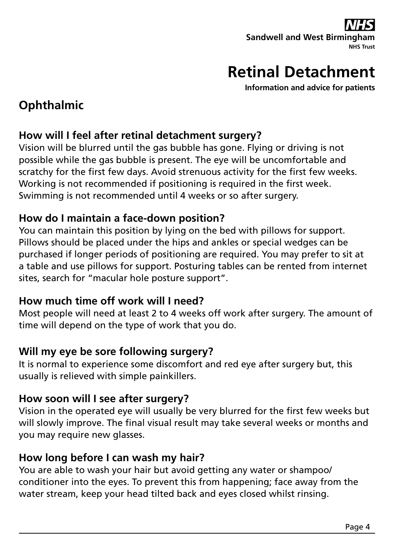# **Sandwell and West Birmin**

**NHS Trust**

# **Retinal Detachment**

**Information and advice for patients**

## **Ophthalmic**

### **How will I feel after retinal detachment surgery?**

Vision will be blurred until the gas bubble has gone. Flying or driving is not possible while the gas bubble is present. The eye will be uncomfortable and scratchy for the first few days. Avoid strenuous activity for the first few weeks. Working is not recommended if positioning is required in the first week. Swimming is not recommended until 4 weeks or so after surgery.

### **How do I maintain a face-down position?**

You can maintain this position by lying on the bed with pillows for support. Pillows should be placed under the hips and ankles or special wedges can be purchased if longer periods of positioning are required. You may prefer to sit at a table and use pillows for support. Posturing tables can be rented from internet sites, search for "macular hole posture support".

### **How much time off work will I need?**

Most people will need at least 2 to 4 weeks off work after surgery. The amount of time will depend on the type of work that you do.

### **Will my eye be sore following surgery?**

It is normal to experience some discomfort and red eye after surgery but, this usually is relieved with simple painkillers.

### **How soon will I see after surgery?**

Vision in the operated eye will usually be very blurred for the first few weeks but will slowly improve. The final visual result may take several weeks or months and you may require new glasses.

### **How long before I can wash my hair?**

You are able to wash your hair but avoid getting any water or shampoo/ conditioner into the eyes. To prevent this from happening; face away from the water stream, keep your head tilted back and eyes closed whilst rinsing.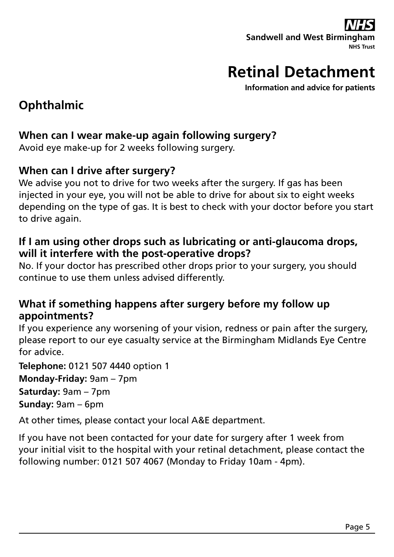### **Sandwell and West Birmin NHS Trust**

# **Retinal Detachment**

**Information and advice for patients**

## **Ophthalmic**

### **When can I wear make-up again following surgery?**

Avoid eye make-up for 2 weeks following surgery.

### **When can I drive after surgery?**

We advise you not to drive for two weeks after the surgery. If gas has been injected in your eye, you will not be able to drive for about six to eight weeks depending on the type of gas. It is best to check with your doctor before you start to drive again.

### **If I am using other drops such as lubricating or anti-glaucoma drops, will it interfere with the post-operative drops?**

No. If your doctor has prescribed other drops prior to your surgery, you should continue to use them unless advised differently.

### **What if something happens after surgery before my follow up appointments?**

If you experience any worsening of your vision, redness or pain after the surgery, please report to our eye casualty service at the Birmingham Midlands Eye Centre for advice.

**Telephone:** 0121 507 4440 option 1

**Monday-Friday:** 9am – 7pm

**Saturday:** 9am – 7pm

**Sunday:** 9am – 6pm

At other times, please contact your local A&E department.

If you have not been contacted for your date for surgery after 1 week from your initial visit to the hospital with your retinal detachment, please contact the following number: 0121 507 4067 (Monday to Friday 10am - 4pm).